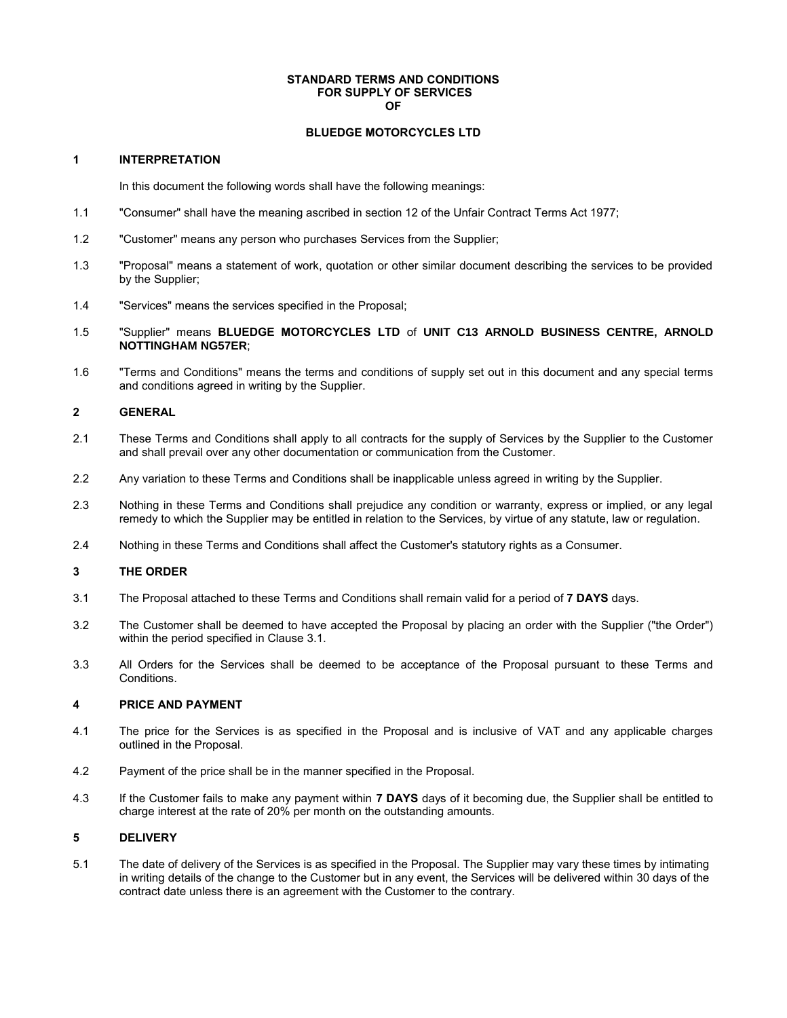#### **STANDARD TERMS AND CONDITIONS FOR SUPPLY OF SERVICES OF**

#### **BLUEDGE MOTORCYCLES LTD**

# **1 INTERPRETATION**

In this document the following words shall have the following meanings:

- 1.1 "Consumer" shall have the meaning ascribed in section 12 of the Unfair Contract Terms Act 1977;
- 1.2 "Customer" means any person who purchases Services from the Supplier;
- 1.3 "Proposal" means a statement of work, quotation or other similar document describing the services to be provided by the Supplier;
- 1.4 "Services" means the services specified in the Proposal;
- 1.5 "Supplier" means **BLUEDGE MOTORCYCLES LTD** of **UNIT C13 ARNOLD BUSINESS CENTRE, ARNOLD NOTTINGHAM NG57ER**;
- 1.6 "Terms and Conditions" means the terms and conditions of supply set out in this document and any special terms and conditions agreed in writing by the Supplier.

# **2 GENERAL**

- 2.1 These Terms and Conditions shall apply to all contracts for the supply of Services by the Supplier to the Customer and shall prevail over any other documentation or communication from the Customer.
- 2.2 Any variation to these Terms and Conditions shall be inapplicable unless agreed in writing by the Supplier.
- 2.3 Nothing in these Terms and Conditions shall prejudice any condition or warranty, express or implied, or any legal remedy to which the Supplier may be entitled in relation to the Services, by virtue of any statute, law or regulation.
- 2.4 Nothing in these Terms and Conditions shall affect the Customer's statutory rights as a Consumer.

# **3 THE ORDER**

- 3.1 The Proposal attached to these Terms and Conditions shall remain valid for a period of **7 DAYS** days.
- 3.2 The Customer shall be deemed to have accepted the Proposal by placing an order with the Supplier ("the Order") within the period specified in Clause 3.1.
- 3.3 All Orders for the Services shall be deemed to be acceptance of the Proposal pursuant to these Terms and Conditions.

# **4 PRICE AND PAYMENT**

- 4.1 The price for the Services is as specified in the Proposal and is inclusive of VAT and any applicable charges outlined in the Proposal.
- 4.2 Payment of the price shall be in the manner specified in the Proposal.
- 4.3 If the Customer fails to make any payment within **7 DAYS** days of it becoming due, the Supplier shall be entitled to charge interest at the rate of 20% per month on the outstanding amounts.

#### **5 DELIVERY**

5.1 The date of delivery of the Services is as specified in the Proposal. The Supplier may vary these times by intimating in writing details of the change to the Customer but in any event, the Services will be delivered within 30 days of the contract date unless there is an agreement with the Customer to the contrary.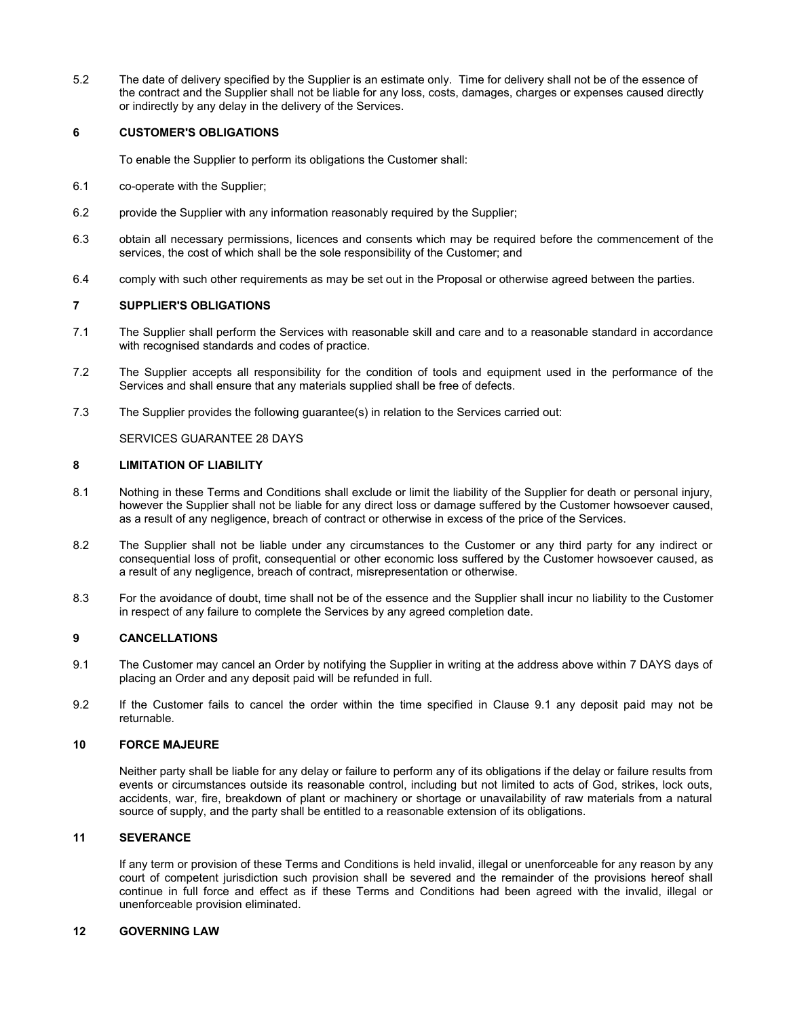5.2 The date of delivery specified by the Supplier is an estimate only. Time for delivery shall not be of the essence of the contract and the Supplier shall not be liable for any loss, costs, damages, charges or expenses caused directly or indirectly by any delay in the delivery of the Services.

# **6 CUSTOMER'S OBLIGATIONS**

To enable the Supplier to perform its obligations the Customer shall:

- 6.1 co-operate with the Supplier;
- 6.2 provide the Supplier with any information reasonably required by the Supplier;
- 6.3 obtain all necessary permissions, licences and consents which may be required before the commencement of the services, the cost of which shall be the sole responsibility of the Customer; and
- 6.4 comply with such other requirements as may be set out in the Proposal or otherwise agreed between the parties.

# **7 SUPPLIER'S OBLIGATIONS**

- 7.1 The Supplier shall perform the Services with reasonable skill and care and to a reasonable standard in accordance with recognised standards and codes of practice.
- 7.2 The Supplier accepts all responsibility for the condition of tools and equipment used in the performance of the Services and shall ensure that any materials supplied shall be free of defects.
- 7.3 The Supplier provides the following guarantee(s) in relation to the Services carried out:

SERVICES GUARANTEE 28 DAYS

## **8 LIMITATION OF LIABILITY**

- 8.1 Nothing in these Terms and Conditions shall exclude or limit the liability of the Supplier for death or personal injury, however the Supplier shall not be liable for any direct loss or damage suffered by the Customer howsoever caused, as a result of any negligence, breach of contract or otherwise in excess of the price of the Services.
- 8.2 The Supplier shall not be liable under any circumstances to the Customer or any third party for any indirect or consequential loss of profit, consequential or other economic loss suffered by the Customer howsoever caused, as a result of any negligence, breach of contract, misrepresentation or otherwise.
- 8.3 For the avoidance of doubt, time shall not be of the essence and the Supplier shall incur no liability to the Customer in respect of any failure to complete the Services by any agreed completion date.

# **9 CANCELLATIONS**

- 9.1 The Customer may cancel an Order by notifying the Supplier in writing at the address above within 7 DAYS days of placing an Order and any deposit paid will be refunded in full.
- 9.2 If the Customer fails to cancel the order within the time specified in Clause 9.1 any deposit paid may not be returnable.

## **10 FORCE MAJEURE**

Neither party shall be liable for any delay or failure to perform any of its obligations if the delay or failure results from events or circumstances outside its reasonable control, including but not limited to acts of God, strikes, lock outs, accidents, war, fire, breakdown of plant or machinery or shortage or unavailability of raw materials from a natural source of supply, and the party shall be entitled to a reasonable extension of its obligations.

#### **11 SEVERANCE**

If any term or provision of these Terms and Conditions is held invalid, illegal or unenforceable for any reason by any court of competent jurisdiction such provision shall be severed and the remainder of the provisions hereof shall continue in full force and effect as if these Terms and Conditions had been agreed with the invalid, illegal or unenforceable provision eliminated.

#### **12 GOVERNING LAW**